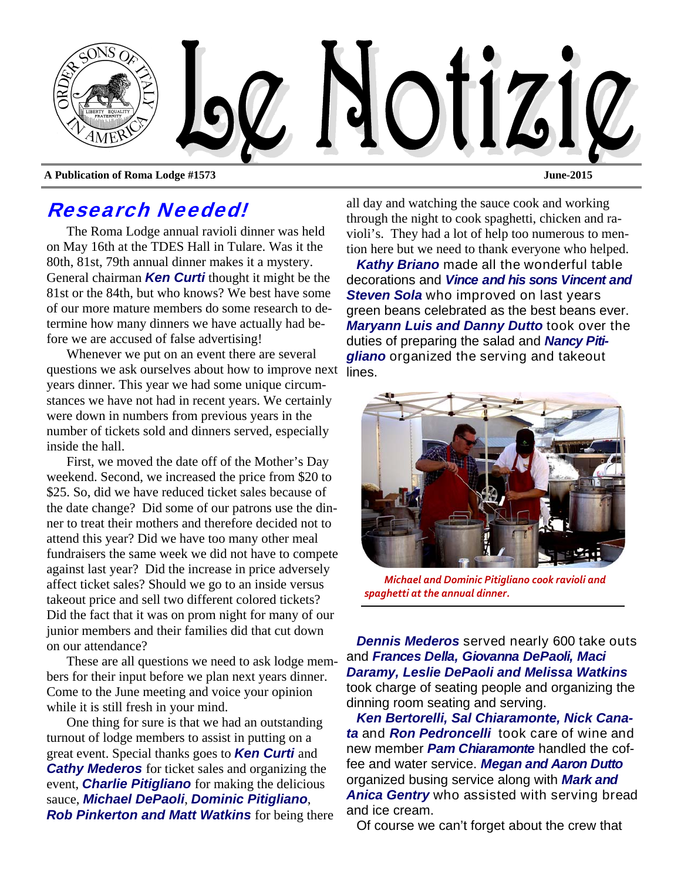

Research Needed!

The Roma Lodge annual ravioli dinner was held on May 16th at the TDES Hall in Tulare. Was it the 80th, 81st, 79th annual dinner makes it a mystery. General chairman *Ken Curti* thought it might be the 81st or the 84th, but who knows? We best have some of our more mature members do some research to determine how many dinners we have actually had be-

fore we are accused of false advertising! Whenever we put on an event there are several questions we ask ourselves about how to improve next lines. years dinner. This year we had some unique circumstances we have not had in recent years. We certainly were down in numbers from previous years in the number of tickets sold and dinners served, especially inside the hall.

First, we moved the date off of the Mother's Day weekend. Second, we increased the price from \$20 to \$25. So, did we have reduced ticket sales because of the date change? Did some of our patrons use the dinner to treat their mothers and therefore decided not to attend this year? Did we have too many other meal fundraisers the same week we did not have to compete against last year? Did the increase in price adversely affect ticket sales? Should we go to an inside versus takeout price and sell two different colored tickets? Did the fact that it was on prom night for many of our junior members and their families did that cut down on our attendance?

These are all questions we need to ask lodge members for their input before we plan next years dinner. Come to the June meeting and voice your opinion while it is still fresh in your mind.

One thing for sure is that we had an outstanding turnout of lodge members to assist in putting on a great event. Special thanks goes to *Ken Curti* and *Cathy Mederos* for ticket sales and organizing the event, *Charlie Pitigliano* for making the delicious sauce, *Michael DePaoli*, *Dominic Pitigliano*, *Rob Pinkerton and Matt Watkins* for being there all day and watching the sauce cook and working through the night to cook spaghetti, chicken and ravioli's. They had a lot of help too numerous to mention here but we need to thank everyone who helped.

*Kathy Briano* made all the wonderful table decorations and *Vince and his sons Vincent and Steven Sola* who improved on last vears green beans celebrated as the best beans ever. *Maryann Luis and Danny Dutto* took over the duties of preparing the salad and *Nancy Pitigliano* organized the serving and takeout



*Michael and Dominic Pitigliano cook ravioli and spaghetti at the annual dinner.* 

*Dennis Mederos* served nearly 600 take outs and *Frances Della, Giovanna DePaoli, Maci Daramy, Leslie DePaoli and Melissa Watkins*  took charge of seating people and organizing the dinning room seating and serving.

*Ken Bertorelli, Sal Chiaramonte, Nick Canata* and *Ron Pedroncelli* took care of wine and new member *Pam Chiaramonte* handled the coffee and water service. *Megan and Aaron Dutto* organized busing service along with *Mark and Anica Gentry* who assisted with serving bread and ice cream.

Of course we can't forget about the crew that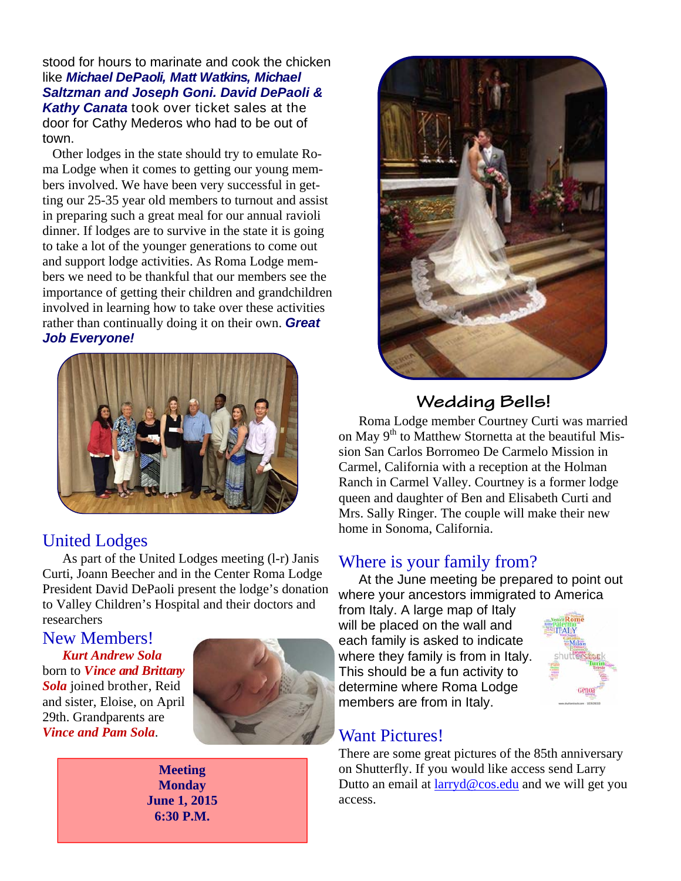stood for hours to marinate and cook the chicken like *Michael DePaoli, Matt Watkins, Michael Saltzman and Joseph Goni. David DePaoli & Kathy Canata* took over ticket sales at the door for Cathy Mederos who had to be out of town.

Other lodges in the state should try to emulate Roma Lodge when it comes to getting our young members involved. We have been very successful in getting our 25-35 year old members to turnout and assist in preparing such a great meal for our annual ravioli dinner. If lodges are to survive in the state it is going to take a lot of the younger generations to come out and support lodge activities. As Roma Lodge members we need to be thankful that our members see the importance of getting their children and grandchildren involved in learning how to take over these activities rather than continually doing it on their own. *Great Job Everyone!* 



## United Lodges

As part of the United Lodges meeting (l-r) Janis Curti, Joann Beecher and in the Center Roma Lodge President David DePaoli present the lodge's donation to Valley Children's Hospital and their doctors and researchers

New Members! *Kurt Andrew Sola*  born to *Vince and Brittany Sola* joined brother, Reid and sister, Eloise, on April 29th. Grandparents are *Vince and Pam Sola*.



**Meeting Monday June 1, 2015 6:30 P.M.** 



# **Wedding Bells!**

Roma Lodge member Courtney Curti was married on May  $9<sup>th</sup>$  to Matthew Stornetta at the beautiful Mission San Carlos Borromeo De Carmelo Mission in Carmel, California with a reception at the Holman Ranch in Carmel Valley. Courtney is a former lodge queen and daughter of Ben and Elisabeth Curti and Mrs. Sally Ringer. The couple will make their new home in Sonoma, California.

### Where is your family from?

At the June meeting be prepared to point out where your ancestors immigrated to America

from Italy. A large map of Italy will be placed on the wall and each family is asked to indicate where they family is from in Italy. This should be a fun activity to determine where Roma Lodge members are from in Italy.



# Want Pictures!

There are some great pictures of the 85th anniversary on Shutterfly. If you would like access send Larry Dutto an email at larryd@cos.edu and we will get you access.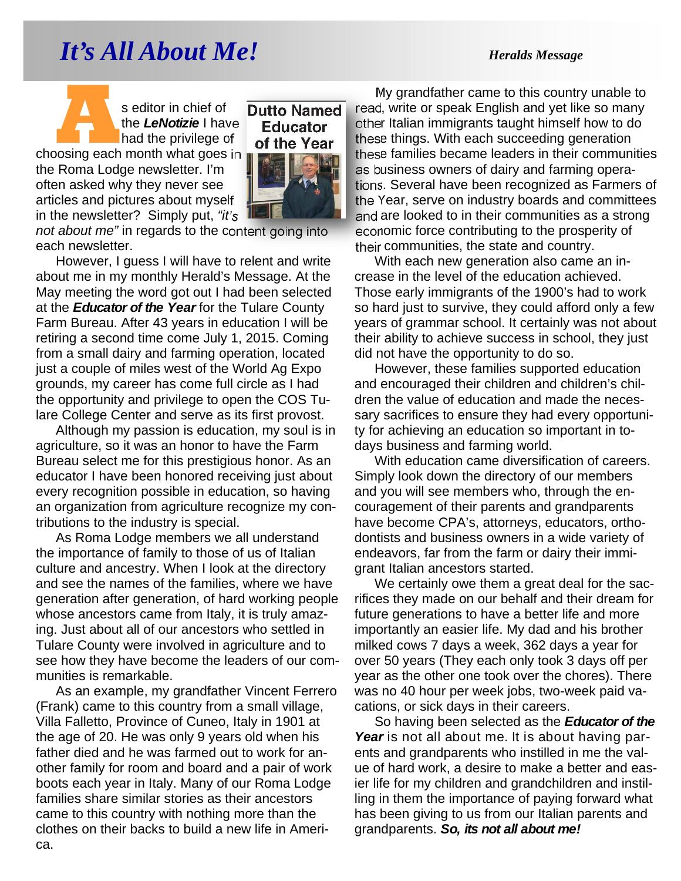# *It's All About Me!* Heralds Message

**A Seditor in chief of the LeNotizie I have had the privilege of choosing each month what goes in** the *LeNotizie* I have had the privilege of the Roma Lodge newsletter. I'm often asked why they never see articles and pictures about myself in the newsletter? Simply put, *"it's* 



**Dutto Named** 

*not about me"* in regards to the content going into each newsletter.

However, I guess I will have to relent and write about me in my monthly Herald's Message. At the May meeting the word got out I had been selected at the *Educator of the Year* for the Tulare County Farm Bureau. After 43 years in education I will be retiring a second time come July 1, 2015. Coming from a small dairy and farming operation, located just a couple of miles west of the World Ag Expo grounds, my career has come full circle as I had the opportunity and privilege to open the COS Tulare College Center and serve as its first provost.

Although my passion is education, my soul is in agriculture, so it was an honor to have the Farm Bureau select me for this prestigious honor. As an educator I have been honored receiving just about every recognition possible in education, so having an organization from agriculture recognize my contributions to the industry is special.

As Roma Lodge members we all understand the importance of family to those of us of Italian culture and ancestry. When I look at the directory and see the names of the families, where we have generation after generation, of hard working people whose ancestors came from Italy, it is truly amazing. Just about all of our ancestors who settled in Tulare County were involved in agriculture and to see how they have become the leaders of our communities is remarkable.

As an example, my grandfather Vincent Ferrero (Frank) came to this country from a small village, Villa Falletto, Province of Cuneo, Italy in 1901 at the age of 20. He was only 9 years old when his father died and he was farmed out to work for another family for room and board and a pair of work boots each year in Italy. Many of our Roma Lodge families share similar stories as their ancestors came to this country with nothing more than the clothes on their backs to build a new life in America.

My grandfather came to this country unable to read, write or speak English and yet like so many other Italian immigrants taught himself how to do these things. With each succeeding generation these families became leaders in their communities as business owners of dairy and farming operations. Several have been recognized as Farmers of the Year, serve on industry boards and committees and are looked to in their communities as a strong economic force contributing to the prosperity of their communities, the state and country.

With each new generation also came an increase in the level of the education achieved. Those early immigrants of the 1900's had to work so hard just to survive, they could afford only a few years of grammar school. It certainly was not about their ability to achieve success in school, they just did not have the opportunity to do so.

However, these families supported education and encouraged their children and children's children the value of education and made the necessary sacrifices to ensure they had every opportunity for achieving an education so important in todays business and farming world.

With education came diversification of careers. Simply look down the directory of our members and you will see members who, through the encouragement of their parents and grandparents have become CPA's, attorneys, educators, orthodontists and business owners in a wide variety of endeavors, far from the farm or dairy their immigrant Italian ancestors started.

We certainly owe them a great deal for the sacrifices they made on our behalf and their dream for future generations to have a better life and more importantly an easier life. My dad and his brother milked cows 7 days a week, 362 days a year for over 50 years (They each only took 3 days off per year as the other one took over the chores). There was no 40 hour per week jobs, two-week paid vacations, or sick days in their careers.

So having been selected as the *Educator of the Year* is not all about me. It is about having parents and grandparents who instilled in me the value of hard work, a desire to make a better and easier life for my children and grandchildren and instilling in them the importance of paying forward what has been giving to us from our Italian parents and grandparents. *So, its not all about me!*